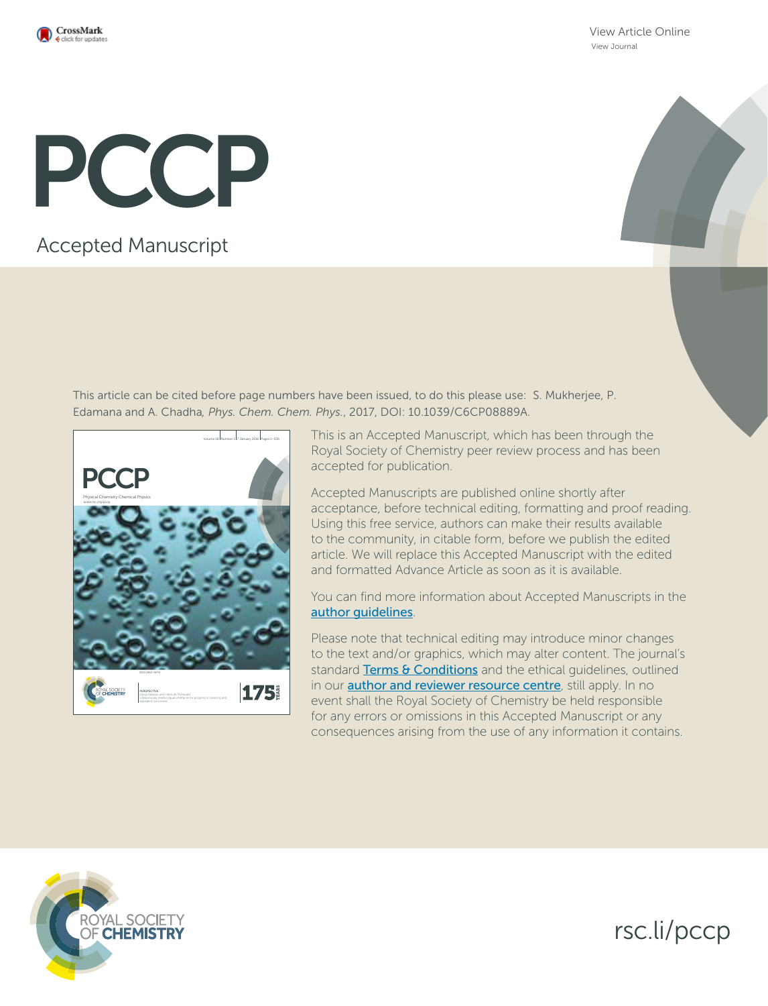

View Article Online View Journal

# PCCP

Accepted Manuscript

This article can be cited before page numbers have been issued, to do this please use: S. Mukherjee, P. Edamana and A. Chadha*, Phys. Chem. Chem. Phys.*, 2017, DOI: 10.1039/C6CP08889A.



This is an Accepted Manuscript, which has been through the Royal Society of Chemistry peer review process and has been accepted for publication.

Accepted Manuscripts are published online shortly after acceptance, before technical editing, formatting and proof reading. Using this free service, authors can make their results available to the community, in citable form, before we publish the edited article. We will replace this Accepted Manuscript with the edited and formatted Advance Article as soon as it is available.

You can find more information about Accepted Manuscripts in the author guidelines.

Please note that technical editing may introduce minor changes to the text and/or graphics, which may alter content. The journal's standard Terms & Conditions and the ethical guidelines, outlined in our **author and reviewer resource centre**, still apply. In no event shall the Royal Society of Chemistry be held responsible for any errors or omissions in this Accepted Manuscript or any consequences arising from the use of any information it contains.



rsc.li/pccp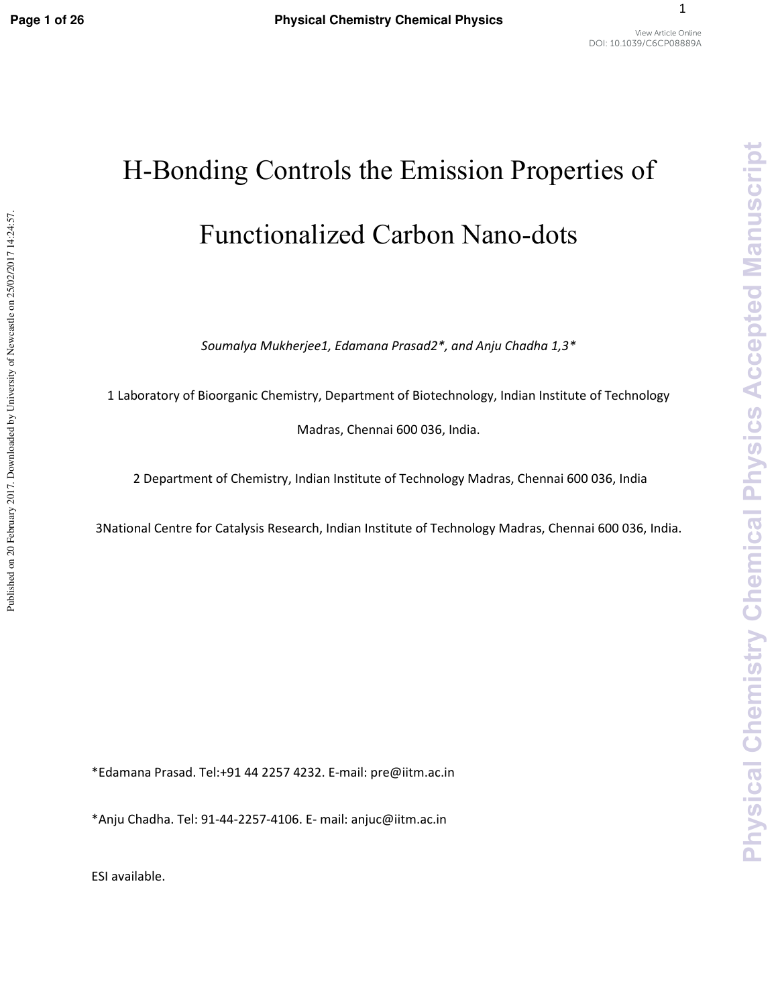Published on 20 February 2017. Downloaded by University of Newcastle on 25/02/2017 14:24:57.

1

# H-Bonding Controls the Emission Properties of Functionalized Carbon Nano-dots

*Soumalya Mukherjee1, Edamana Prasad2\*, and Anju Chadha 1,3\** 

1 Laboratory of Bioorganic Chemistry, Department of Biotechnology, Indian Institute of Technology

Madras, Chennai 600 036, India.

2 Department of Chemistry, Indian Institute of Technology Madras, Chennai 600 036, India

3National Centre for Catalysis Research, Indian Institute of Technology Madras, Chennai 600 036, India.

\*Edamana Prasad. Tel:+91 44 2257 4232. E-mail: pre@iitm.ac.in

\*Anju Chadha. Tel: 91-44-2257-4106. E- mail: anjuc@iitm.ac.in

ESI available.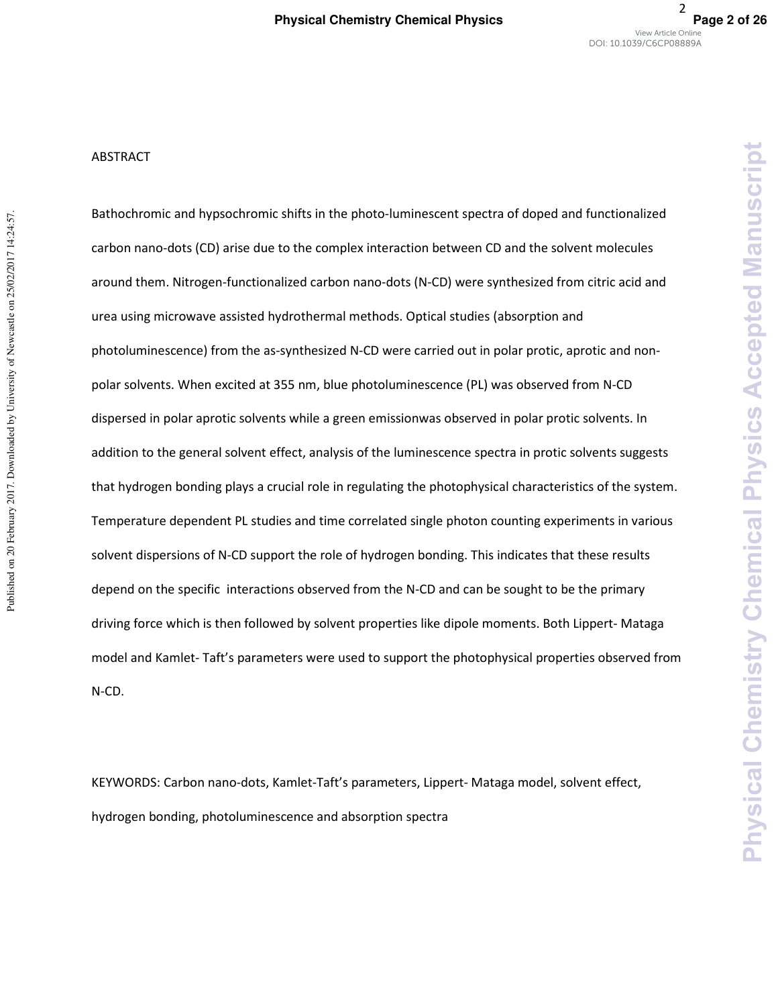**Chemical Physics** 

**Chemistry** 

**Physical** 

**Accepted Manuscript** 

#### ABSTRACT

Bathochromic and hypsochromic shifts in the photo-luminescent spectra of doped and functionalized carbon nano-dots (CD) arise due to the complex interaction between CD and the solvent molecules around them. Nitrogen-functionalized carbon nano-dots (N-CD) were synthesized from citric acid and urea using microwave assisted hydrothermal methods. Optical studies (absorption and photoluminescence) from the as-synthesized N-CD were carried out in polar protic, aprotic and nonpolar solvents. When excited at 355 nm, blue photoluminescence (PL) was observed from N-CD dispersed in polar aprotic solvents while a green emissionwas observed in polar protic solvents. In addition to the general solvent effect, analysis of the luminescence spectra in protic solvents suggests that hydrogen bonding plays a crucial role in regulating the photophysical characteristics of the system. Temperature dependent PL studies and time correlated single photon counting experiments in various solvent dispersions of N-CD support the role of hydrogen bonding. This indicates that these results depend on the specific interactions observed from the N-CD and can be sought to be the primary driving force which is then followed by solvent properties like dipole moments. Both Lippert- Mataga model and Kamlet- Taft's parameters were used to support the photophysical properties observed from N-CD.

KEYWORDS: Carbon nano-dots, Kamlet-Taft's parameters, Lippert- Mataga model, solvent effect, hydrogen bonding, photoluminescence and absorption spectra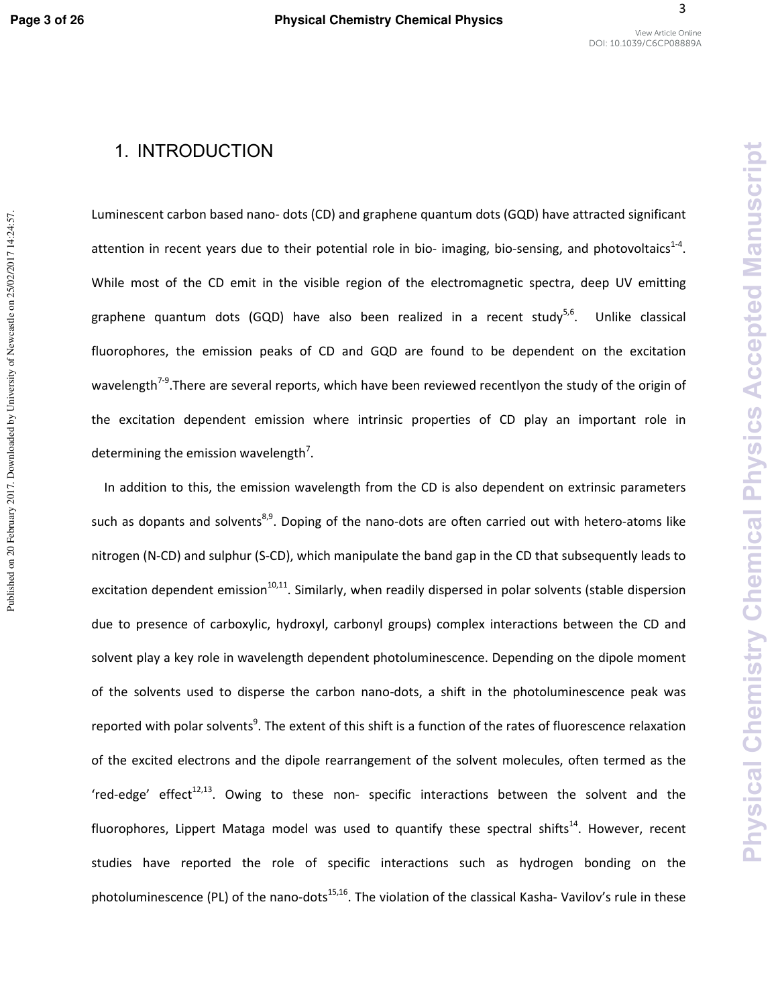Published on 20 February 2017. Downloaded by University of Newcastle on 25/02/2017 14:24:57.

Luminescent carbon based nano- dots (CD) and graphene quantum dots (GQD) have attracted significant attention in recent years due to their potential role in bio- imaging, bio-sensing, and photovoltaics<sup>1-4</sup>. While most of the CD emit in the visible region of the electromagnetic spectra, deep UV emitting graphene quantum dots (GQD) have also been realized in a recent study<sup>5,6</sup>. Unlike classical fluorophores, the emission peaks of CD and GQD are found to be dependent on the excitation wavelength<sup>7-9</sup>. There are several reports, which have been reviewed recentlyon the study of the origin of the excitation dependent emission where intrinsic properties of CD play an important role in determining the emission wavelength<sup>7</sup>.

In addition to this, the emission wavelength from the CD is also dependent on extrinsic parameters such as dopants and solvents<sup>8,9</sup>. Doping of the nano-dots are often carried out with hetero-atoms like nitrogen (N-CD) and sulphur (S-CD), which manipulate the band gap in the CD that subsequently leads to excitation dependent emission<sup>10,11</sup>. Similarly, when readily dispersed in polar solvents (stable dispersion due to presence of carboxylic, hydroxyl, carbonyl groups) complex interactions between the CD and solvent play a key role in wavelength dependent photoluminescence. Depending on the dipole moment of the solvents used to disperse the carbon nano-dots, a shift in the photoluminescence peak was reported with polar solvents<sup>9</sup>. The extent of this shift is a function of the rates of fluorescence relaxation of the excited electrons and the dipole rearrangement of the solvent molecules, often termed as the 'red-edge' effect<sup>12,13</sup>. Owing to these non- specific interactions between the solvent and the fluorophores, Lippert Mataga model was used to quantify these spectral shifts<sup>14</sup>. However, recent studies have reported the role of specific interactions such as hydrogen bonding on the photoluminescence (PL) of the nano-dots<sup>15,16</sup>. The violation of the classical Kasha- Vavilov's rule in these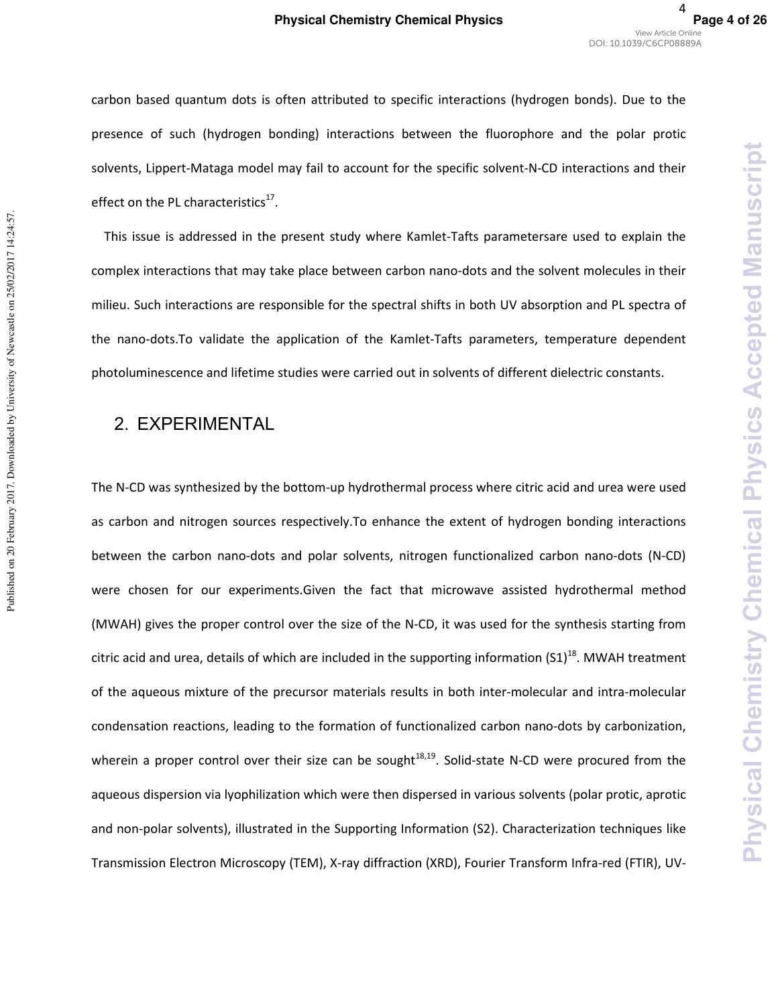carbon based quantum dots is often attributed to specific interactions (hydrogen bonds). Due to the presence of such (hydrogen bonding) interactions between the fluorophore and the polar protic solvents, Lippert-Mataga model may fail to account for the specific solvent-N-CD interactions and their effect on the PL characteristics $^{17}$ .

This issue is addressed in the present study where Kamlet-Tafts parametersare used to explain the complex interactions that may take place between carbon nano-dots and the solvent molecules in their milieu. Such interactions are responsible for the spectral shifts in both UV absorption and PL spectra of the nano-dots.To validate the application of the Kamlet-Tafts parameters, temperature dependent photoluminescence and lifetime studies were carried out in solvents of different dielectric constants.

# 2. EXPERIMENTAL

Published on 20 February 2017. Downloaded by University of Newcastle on 25/02/2017 14:24:57.

Published on 20 February 2017. Downloaded by University of Newcastle on 25/02/2017 14:24:57.

The N-CD was synthesized by the bottom-up hydrothermal process where citric acid and urea were used as carbon and nitrogen sources respectively.To enhance the extent of hydrogen bonding interactions between the carbon nano-dots and polar solvents, nitrogen functionalized carbon nano-dots (N-CD) were chosen for our experiments.Given the fact that microwave assisted hydrothermal method (MWAH) gives the proper control over the size of the N-CD, it was used for the synthesis starting from citric acid and urea, details of which are included in the supporting information  $(S1)^{18}$ . MWAH treatment of the aqueous mixture of the precursor materials results in both inter-molecular and intra-molecular condensation reactions, leading to the formation of functionalized carbon nano-dots by carbonization, wherein a proper control over their size can be sought<sup>18,19</sup>. Solid-state N-CD were procured from the aqueous dispersion via lyophilization which were then dispersed in various solvents (polar protic, aprotic and non-polar solvents), illustrated in the Supporting Information (S2). Characterization techniques like Transmission Electron Microscopy (TEM), X-ray diffraction (XRD), Fourier Transform Infra-red (FTIR), UV-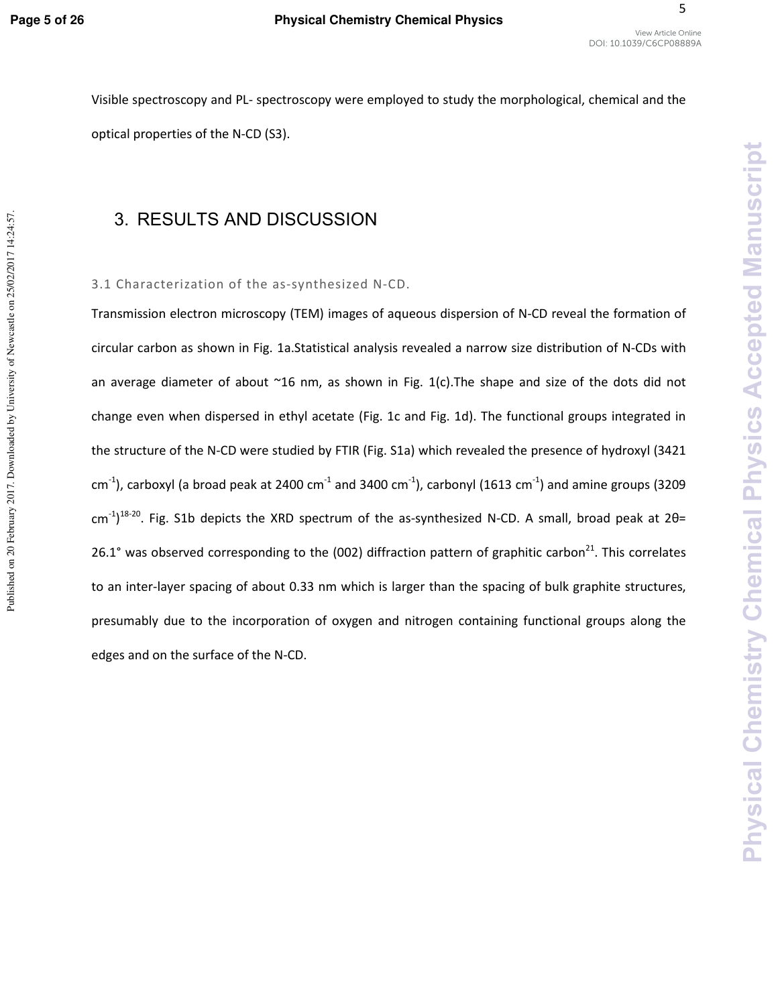Published on 20 February 2017. Downloaded by University of Newcastle on 25/02/2017 14:24:57.

5

DOI: 10.1039/C6CP08889A

Visible spectroscopy and PL- spectroscopy were employed to study the morphological, chemical and the optical properties of the N-CD (S3).

# 3. RESULTS AND DISCUSSION

#### 3.1 Characterization of the as-synthesized N-CD.

Transmission electron microscopy (TEM) images of aqueous dispersion of N-CD reveal the formation of circular carbon as shown in Fig. 1a.Statistical analysis revealed a narrow size distribution of N-CDs with an average diameter of about  $\sim$ 16 nm, as shown in Fig. 1(c). The shape and size of the dots did not change even when dispersed in ethyl acetate (Fig. 1c and Fig. 1d). The functional groups integrated in the structure of the N-CD were studied by FTIR (Fig. S1a) which revealed the presence of hydroxyl (3421  $cm<sup>-1</sup>$ ), carboxyl (a broad peak at 2400 cm<sup>-1</sup> and 3400 cm<sup>-1</sup>), carbonyl (1613 cm<sup>-1</sup>) and amine groups (3209  $\text{cm}^{-1}$ )<sup>18-20</sup>. Fig. S1b depicts the XRD spectrum of the as-synthesized N-CD. A small, broad peak at 2 $\theta$ = 26.1° was observed corresponding to the (002) diffraction pattern of graphitic carbon<sup>21</sup>. This correlates to an inter-layer spacing of about 0.33 nm which is larger than the spacing of bulk graphite structures, presumably due to the incorporation of oxygen and nitrogen containing functional groups along the edges and on the surface of the N-CD.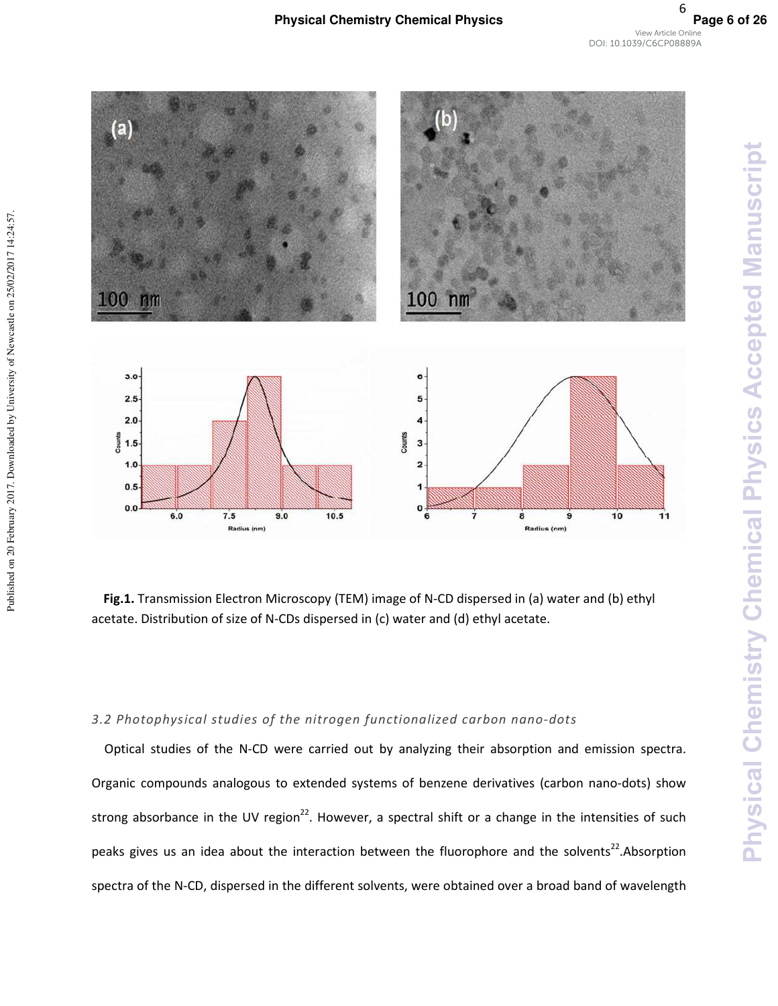

**Fig.1.** Transmission Electron Microscopy (TEM) image of N-CD dispersed in (a) water and (b) ethyl acetate. Distribution of size of N-CDs dispersed in (c) water and (d) ethyl acetate.

#### *3.2 Photophysical studies of the nitrogen functionalized carbon nano-dots*

Published on 20 February 2017. Downloaded by University of Newcastle on 25/02/2017 14:24:57.

Published on 20 February 2017. Downloaded by University of Newcastle on 25/02/2017 14:24:57.

Optical studies of the N-CD were carried out by analyzing their absorption and emission spectra. Organic compounds analogous to extended systems of benzene derivatives (carbon nano-dots) show strong absorbance in the UV region<sup>22</sup>. However, a spectral shift or a change in the intensities of such peaks gives us an idea about the interaction between the fluorophore and the solvents<sup>22</sup>. Absorption spectra of the N-CD, dispersed in the different solvents, were obtained over a broad band of wavelength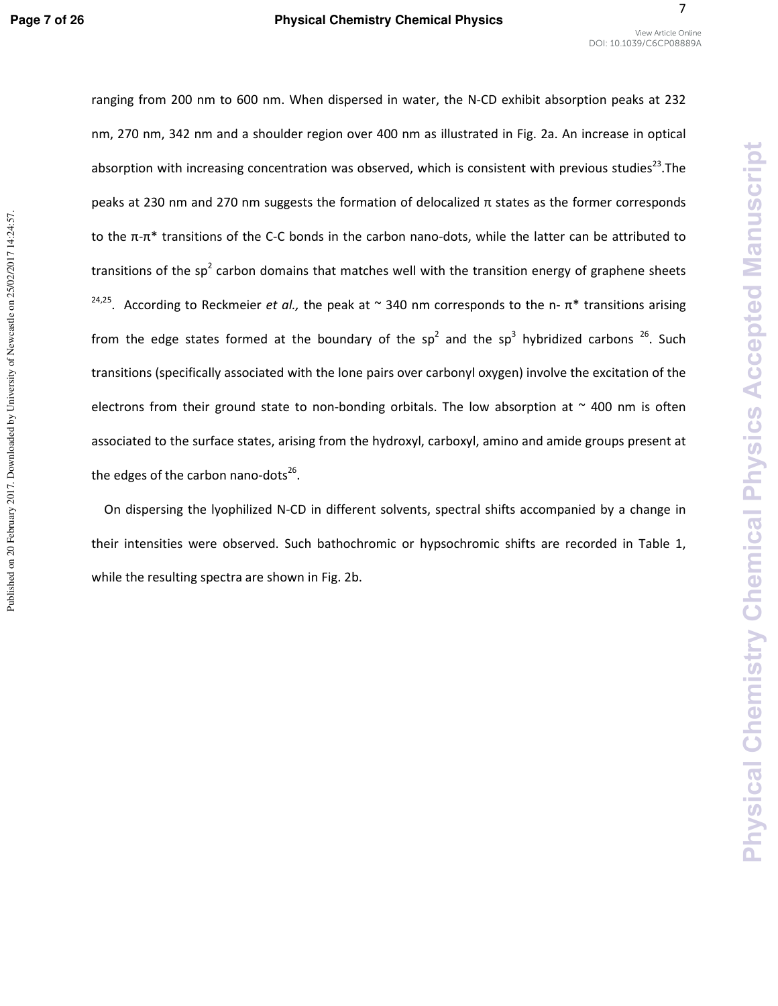7

**Physical Chemistry Chemical Physics Accepted Manuscript**

Physical Chemistry Chemical Physics Accepted Manuscript

ranging from 200 nm to 600 nm. When dispersed in water, the N-CD exhibit absorption peaks at 232 nm, 270 nm, 342 nm and a shoulder region over 400 nm as illustrated in Fig. 2a. An increase in optical absorption with increasing concentration was observed, which is consistent with previous studies<sup>23</sup>. The peaks at 230 nm and 270 nm suggests the formation of delocalized π states as the former corresponds to the  $π$ -π<sup>\*</sup> transitions of the C-C bonds in the carbon nano-dots, while the latter can be attributed to transitions of the sp<sup>2</sup> carbon domains that matches well with the transition energy of graphene sheets <sup>24,25</sup>. According to Reckmeier *et al.,* the peak at  $\sim$  340 nm corresponds to the n- $\pi^*$  transitions arising from the edge states formed at the boundary of the sp<sup>2</sup> and the sp<sup>3</sup> hybridized carbons <sup>26</sup>. Such transitions (specifically associated with the lone pairs over carbonyl oxygen) involve the excitation of the electrons from their ground state to non-bonding orbitals. The low absorption at  $\sim$  400 nm is often associated to the surface states, arising from the hydroxyl, carboxyl, amino and amide groups present at the edges of the carbon nano-dots<sup>26</sup>.

On dispersing the lyophilized N-CD in different solvents, spectral shifts accompanied by a change in their intensities were observed. Such bathochromic or hypsochromic shifts are recorded in Table 1, while the resulting spectra are shown in Fig. 2b.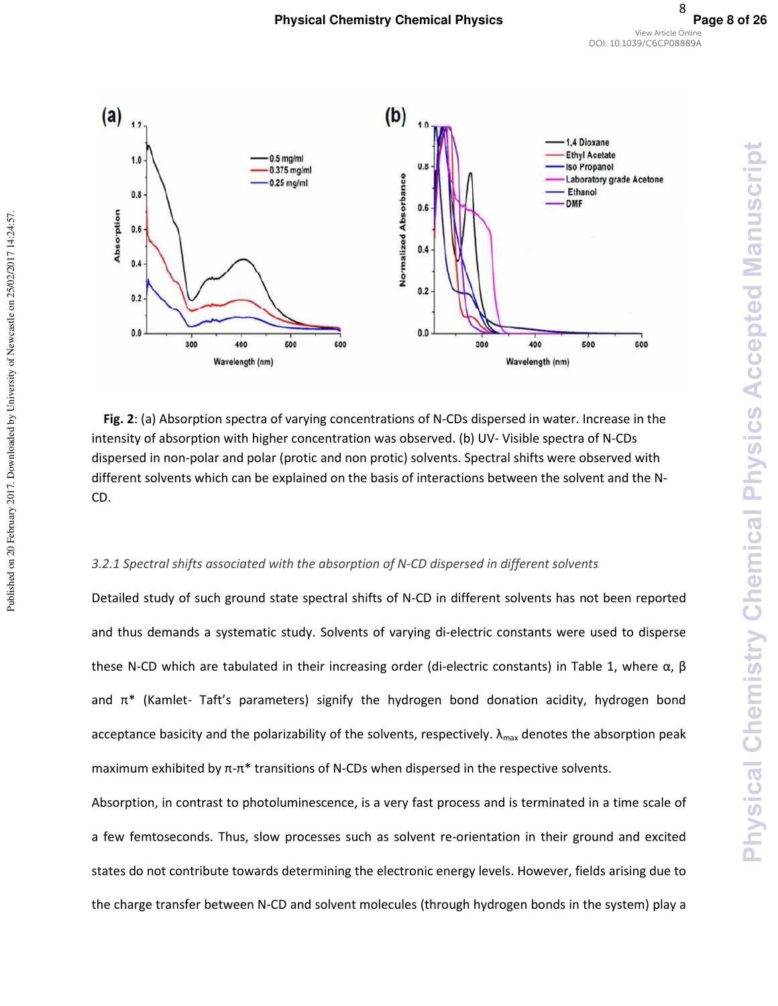

**Fig. 2**: (a) Absorption spectra of varying concentrations of N-CDs dispersed in water. Increase in the intensity of absorption with higher concentration was observed. (b) UV- Visible spectra of N-CDs dispersed in non-polar and polar (protic and non protic) solvents. Spectral shifts were observed with different solvents which can be explained on the basis of interactions between the solvent and the N-CD.

#### *3.2.1 Spectral shifts associated with the absorption of N-CD dispersed in different solvents*

Published on 20 February 2017. Downloaded by University of Newcastle on 25/02/2017 14:24:57.

Published on 20 February 2017. Downloaded by University of Newcastle on 25/02/2017 14:24:57.

Detailed study of such ground state spectral shifts of N-CD in different solvents has not been reported and thus demands a systematic study. Solvents of varying di-electric constants were used to disperse these N-CD which are tabulated in their increasing order (di-electric constants) in Table 1, where  $\alpha$ , β and  $\pi^*$  (Kamlet- Taft's parameters) signify the hydrogen bond donation acidity, hydrogen bond acceptance basicity and the polarizability of the solvents, respectively.  $\lambda_{\text{max}}$  denotes the absorption peak maximum exhibited by  $π$ -π<sup>\*</sup> transitions of N-CDs when dispersed in the respective solvents.

Absorption, in contrast to photoluminescence, is a very fast process and is terminated in a time scale of a few femtoseconds. Thus, slow processes such as solvent re-orientation in their ground and excited states do not contribute towards determining the electronic energy levels. However, fields arising due to the charge transfer between N-CD and solvent molecules (through hydrogen bonds in the system) play a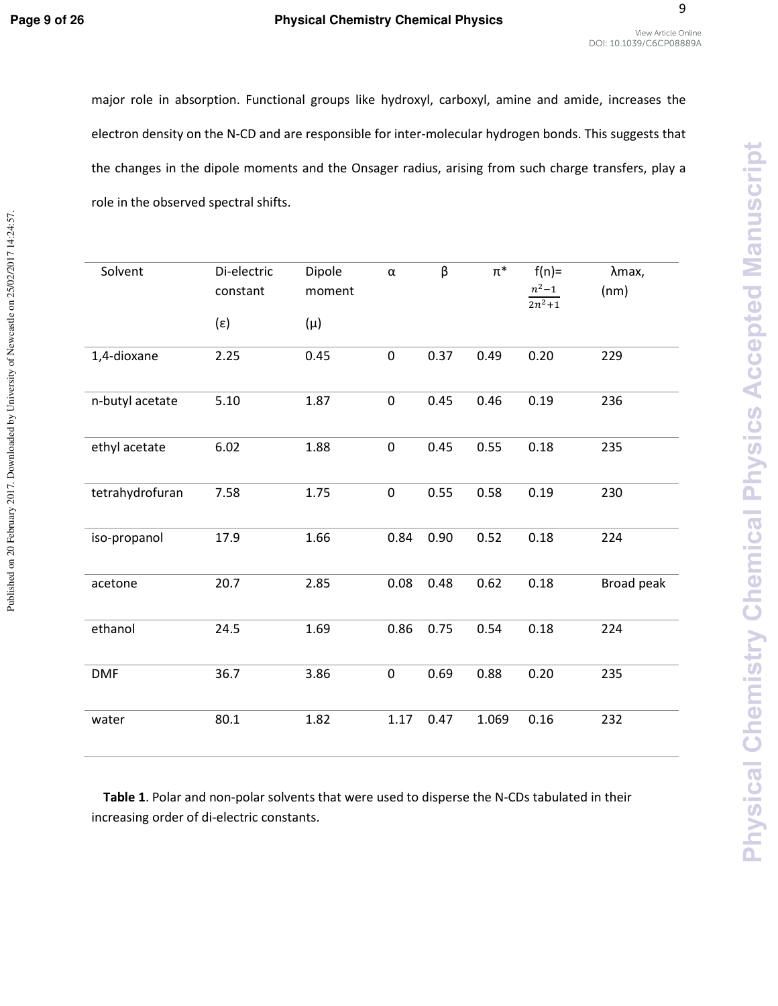Published on 20 February 2017. Downloaded by University of Newcastle on 25/02/2017 14:24:57.

#### Page 9 of 26 **Physical Chemistry Chemical Physics**

9

major role in absorption. Functional groups like hydroxyl, carboxyl, amine and amide, increases the electron density on the N-CD and are responsible for inter-molecular hydrogen bonds. This suggests that the changes in the dipole moments and the Onsager radius, arising from such charge transfers, play a role in the observed spectral shifts.

| Solvent         | Di-electric<br>constant | Dipole<br>moment | $\alpha$    | β    | $\pi^*$ | $f(n) =$<br>$n^2 - 1$ | λmax,<br>(nm) |
|-----------------|-------------------------|------------------|-------------|------|---------|-----------------------|---------------|
|                 | $(\varepsilon)$         | $(\mu)$          |             |      |         | $\frac{2n^2+1}{n}$    |               |
| 1,4-dioxane     | 2.25                    | 0.45             | $\mathbf 0$ | 0.37 | 0.49    | 0.20                  | 229           |
| n-butyl acetate | 5.10                    | 1.87             | $\pmb{0}$   | 0.45 | 0.46    | 0.19                  | 236           |
| ethyl acetate   | 6.02                    | 1.88             | $\pmb{0}$   | 0.45 | 0.55    | 0.18                  | 235           |
| tetrahydrofuran | 7.58                    | 1.75             | $\pmb{0}$   | 0.55 | 0.58    | 0.19                  | 230           |
| iso-propanol    | 17.9                    | 1.66             | 0.84        | 0.90 | 0.52    | $0.18\,$              | 224           |
| acetone         | 20.7                    | 2.85             | 0.08        | 0.48 | 0.62    | 0.18                  | Broad peak    |
| ethanol         | 24.5                    | 1.69             | 0.86        | 0.75 | 0.54    | 0.18                  | 224           |
| <b>DMF</b>      | 36.7                    | 3.86             | $\mathbf 0$ | 0.69 | 0.88    | 0.20                  | 235           |
| water           | 80.1                    | 1.82             | 1.17        | 0.47 | 1.069   | 0.16                  | 232           |

**Table 1**. Polar and non-polar solvents that were used to disperse the N-CDs tabulated in their increasing order of di-electric constants.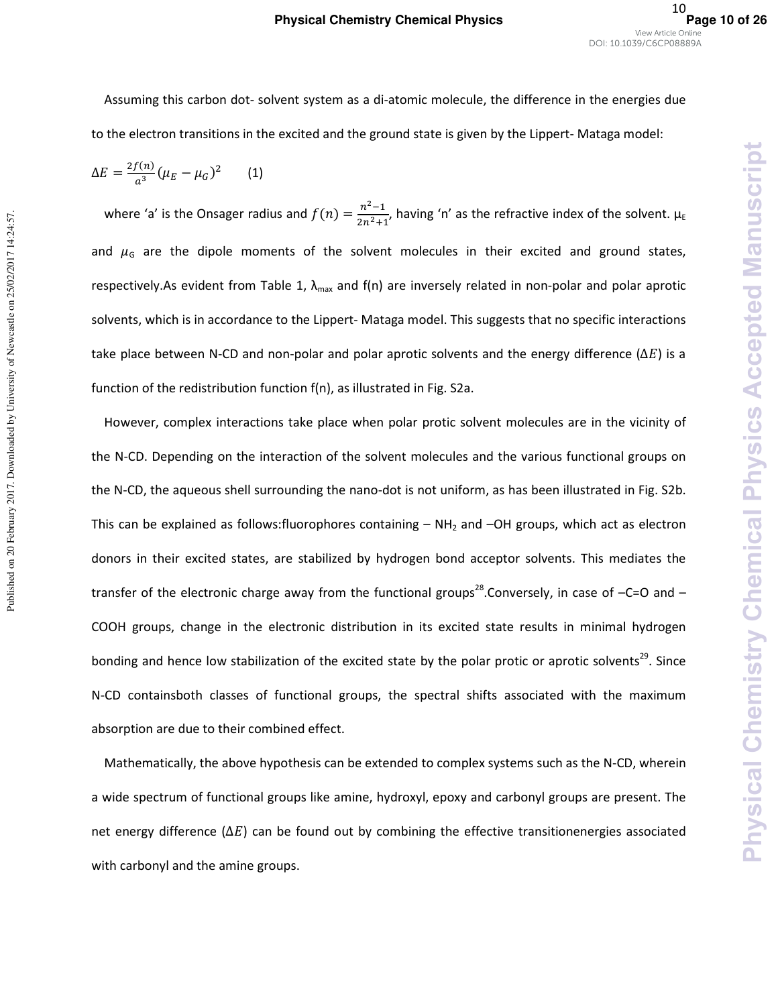**Physical Chemistry Chemical Physics** 

**Accepted Manuscript** 

Assuming this carbon dot- solvent system as a di-atomic molecule, the difference in the energies due to the electron transitions in the excited and the ground state is given by the Lippert- Mataga model:

$$
\Delta E = \frac{2f(n)}{a^3} (\mu_E - \mu_G)^2
$$
 (1)

where 'a' is the Onsager radius and  $f(n) = \frac{n^2-1}{2n^2+1}$  $\frac{n-1}{2n^2+1}$ , having 'n' as the refractive index of the solvent.  $\mu_E$ and  $\mu$ <sub>G</sub> are the dipole moments of the solvent molecules in their excited and ground states, respectively.As evident from Table 1,  $\lambda_{max}$  and f(n) are inversely related in non-polar and polar aprotic solvents, which is in accordance to the Lippert- Mataga model. This suggests that no specific interactions take place between N-CD and non-polar and polar aprotic solvents and the energy difference ( $\Delta E$ ) is a function of the redistribution function f(n), as illustrated in Fig. S2a.

However, complex interactions take place when polar protic solvent molecules are in the vicinity of the N-CD. Depending on the interaction of the solvent molecules and the various functional groups on the N-CD, the aqueous shell surrounding the nano-dot is not uniform, as has been illustrated in Fig. S2b. This can be explained as follows: fluorophores containing  $- NH_2$  and  $-OH$  groups, which act as electron donors in their excited states, are stabilized by hydrogen bond acceptor solvents. This mediates the transfer of the electronic charge away from the functional groups<sup>28</sup>. Conversely, in case of  $-C=O$  and  $-$ COOH groups, change in the electronic distribution in its excited state results in minimal hydrogen bonding and hence low stabilization of the excited state by the polar protic or aprotic solvents<sup>29</sup>. Since N-CD containsboth classes of functional groups, the spectral shifts associated with the maximum absorption are due to their combined effect.

Mathematically, the above hypothesis can be extended to complex systems such as the N-CD, wherein a wide spectrum of functional groups like amine, hydroxyl, epoxy and carbonyl groups are present. The net energy difference ( $\Delta E$ ) can be found out by combining the effective transitionenergies associated with carbonyl and the amine groups.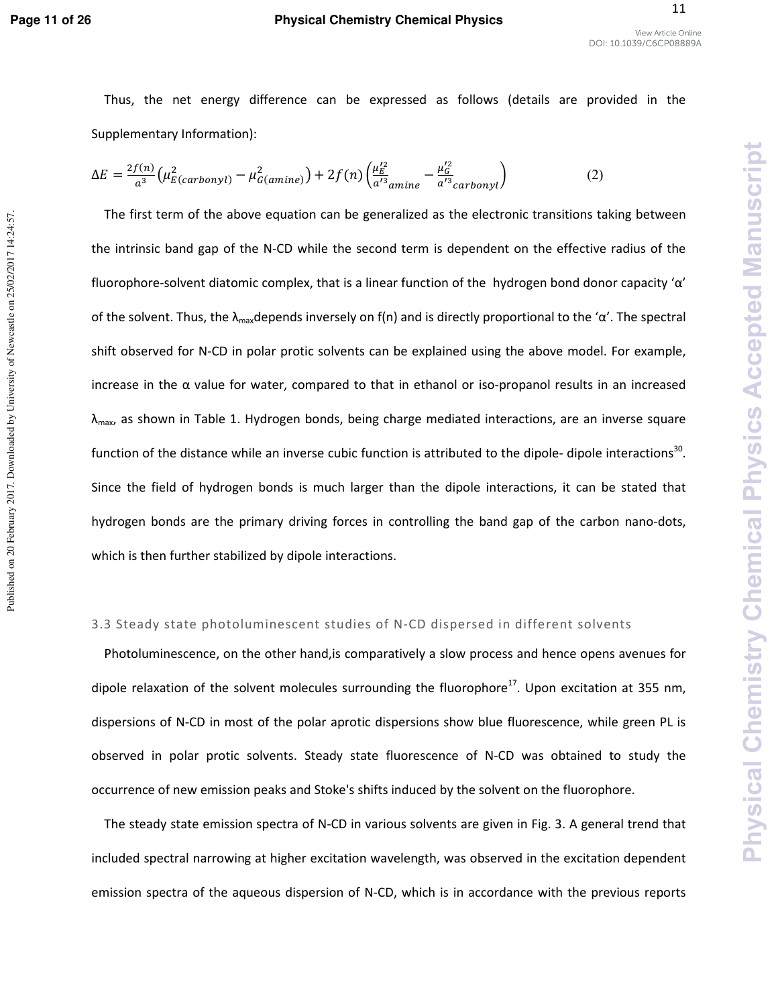#### **Page 11 of 26 Physical Chemistry Chemical Physics**

**Physical Chemistry Chemical Physics Accepted Manuscript**

**Chemical Physics** 

sical Chemistry

**Accepted Manuscript** 

Thus, the net energy difference can be expressed as follows (details are provided in the Supplementary Information):

$$
\Delta E = \frac{2f(n)}{a^3} \left( \mu_{E(carbonyl)}^2 - \mu_{G(amine)}^2 \right) + 2f(n) \left( \frac{\mu_E^{\prime 2}}{a^{\prime 3} a_{\text{min}} e} - \frac{\mu_G^{\prime 2}}{a^{\prime 3} carbonyl} \right) \tag{2}
$$

The first term of the above equation can be generalized as the electronic transitions taking between the intrinsic band gap of the N-CD while the second term is dependent on the effective radius of the fluorophore-solvent diatomic complex, that is a linear function of the hydrogen bond donor capacity 'α' of the solvent. Thus, the  $\lambda_{\text{max}}$ depends inversely on f(n) and is directly proportional to the ' $\alpha'$ . The spectral shift observed for N-CD in polar protic solvents can be explained using the above model. For example, increase in the  $\alpha$  value for water, compared to that in ethanol or iso-propanol results in an increased  $\lambda_{\text{max}}$ , as shown in Table 1. Hydrogen bonds, being charge mediated interactions, are an inverse square function of the distance while an inverse cubic function is attributed to the dipole- dipole interactions<sup>30</sup>. Since the field of hydrogen bonds is much larger than the dipole interactions, it can be stated that hydrogen bonds are the primary driving forces in controlling the band gap of the carbon nano-dots, which is then further stabilized by dipole interactions.

#### 3.3 Steady state photoluminescent studies of N-CD dispersed in different solvents

Photoluminescence, on the other hand,is comparatively a slow process and hence opens avenues for dipole relaxation of the solvent molecules surrounding the fluorophore<sup>17</sup>. Upon excitation at 355 nm, dispersions of N-CD in most of the polar aprotic dispersions show blue fluorescence, while green PL is observed in polar protic solvents. Steady state fluorescence of N-CD was obtained to study the occurrence of new emission peaks and Stoke's shifts induced by the solvent on the fluorophore.

The steady state emission spectra of N-CD in various solvents are given in Fig. 3. A general trend that included spectral narrowing at higher excitation wavelength, was observed in the excitation dependent emission spectra of the aqueous dispersion of N-CD, which is in accordance with the previous reports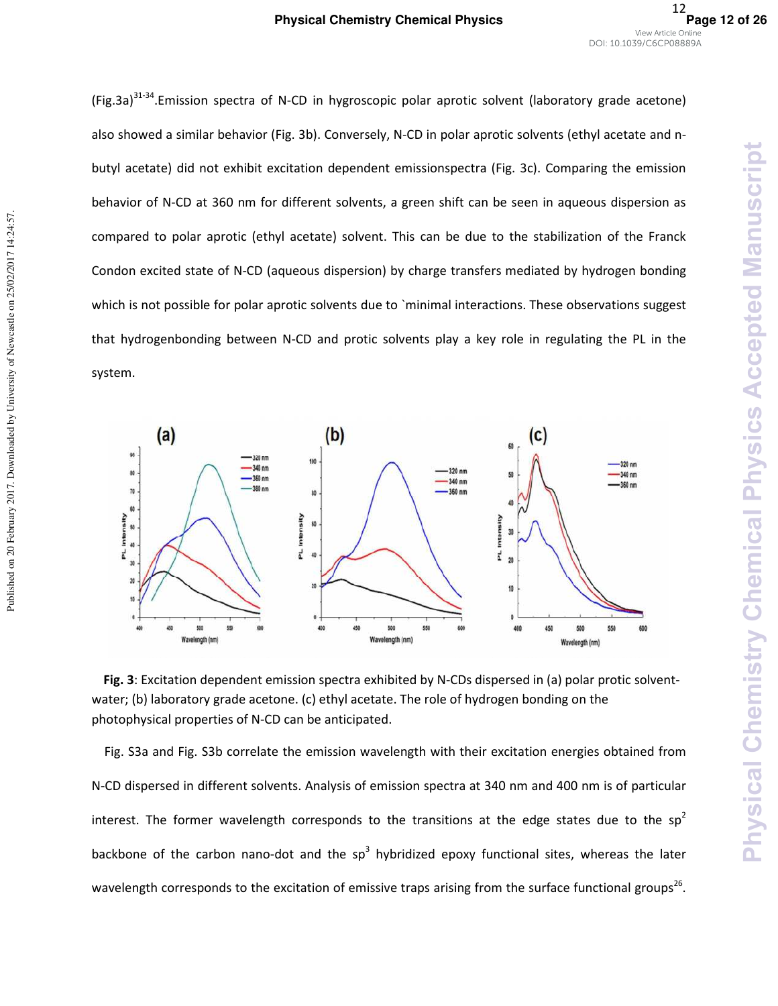Physical Chemistry Chemical Physics Accepted Manuscript

(Fig.3a)<sup>31-34</sup>. Emission spectra of N-CD in hygroscopic polar aprotic solvent (laboratory grade acetone) also showed a similar behavior (Fig. 3b). Conversely, N-CD in polar aprotic solvents (ethyl acetate and nbutyl acetate) did not exhibit excitation dependent emissionspectra (Fig. 3c). Comparing the emission behavior of N-CD at 360 nm for different solvents, a green shift can be seen in aqueous dispersion as compared to polar aprotic (ethyl acetate) solvent. This can be due to the stabilization of the Franck Condon excited state of N-CD (aqueous dispersion) by charge transfers mediated by hydrogen bonding which is not possible for polar aprotic solvents due to `minimal interactions. These observations suggest that hydrogenbonding between N-CD and protic solvents play a key role in regulating the PL in the system.



**Fig. 3**: Excitation dependent emission spectra exhibited by N-CDs dispersed in (a) polar protic solventwater; (b) laboratory grade acetone. (c) ethyl acetate. The role of hydrogen bonding on the photophysical properties of N-CD can be anticipated.

Fig. S3a and Fig. S3b correlate the emission wavelength with their excitation energies obtained from N-CD dispersed in different solvents. Analysis of emission spectra at 340 nm and 400 nm is of particular interest. The former wavelength corresponds to the transitions at the edge states due to the sp<sup>2</sup> backbone of the carbon nano-dot and the sp<sup>3</sup> hybridized epoxy functional sites, whereas the later wavelength corresponds to the excitation of emissive traps arising from the surface functional groups<sup>26</sup>.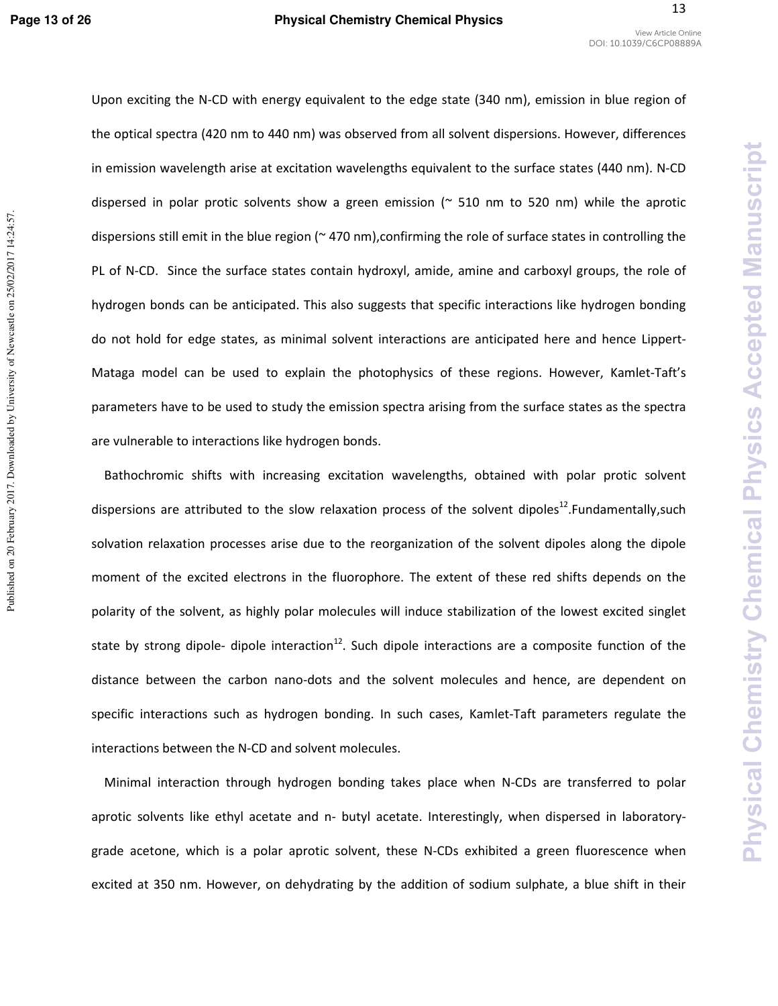**Chemical Physics** 

Chemistry

**Inysical** 

**Accepted Manuscript** 

Upon exciting the N-CD with energy equivalent to the edge state (340 nm), emission in blue region of the optical spectra (420 nm to 440 nm) was observed from all solvent dispersions. However, differences in emission wavelength arise at excitation wavelengths equivalent to the surface states (440 nm). N-CD dispersed in polar protic solvents show a green emission ( $\sim$  510 nm to 520 nm) while the aprotic dispersions still emit in the blue region (~ 470 nm),confirming the role of surface states in controlling the PL of N-CD. Since the surface states contain hydroxyl, amide, amine and carboxyl groups, the role of hydrogen bonds can be anticipated. This also suggests that specific interactions like hydrogen bonding do not hold for edge states, as minimal solvent interactions are anticipated here and hence Lippert-Mataga model can be used to explain the photophysics of these regions. However, Kamlet-Taft's parameters have to be used to study the emission spectra arising from the surface states as the spectra are vulnerable to interactions like hydrogen bonds.

Bathochromic shifts with increasing excitation wavelengths, obtained with polar protic solvent dispersions are attributed to the slow relaxation process of the solvent dipoles<sup>12</sup>. Fundamentally, such solvation relaxation processes arise due to the reorganization of the solvent dipoles along the dipole moment of the excited electrons in the fluorophore. The extent of these red shifts depends on the polarity of the solvent, as highly polar molecules will induce stabilization of the lowest excited singlet state by strong dipole- dipole interaction<sup>12</sup>. Such dipole interactions are a composite function of the distance between the carbon nano-dots and the solvent molecules and hence, are dependent on specific interactions such as hydrogen bonding. In such cases, Kamlet-Taft parameters regulate the interactions between the N-CD and solvent molecules.

Minimal interaction through hydrogen bonding takes place when N-CDs are transferred to polar aprotic solvents like ethyl acetate and n- butyl acetate. Interestingly, when dispersed in laboratorygrade acetone, which is a polar aprotic solvent, these N-CDs exhibited a green fluorescence when excited at 350 nm. However, on dehydrating by the addition of sodium sulphate, a blue shift in their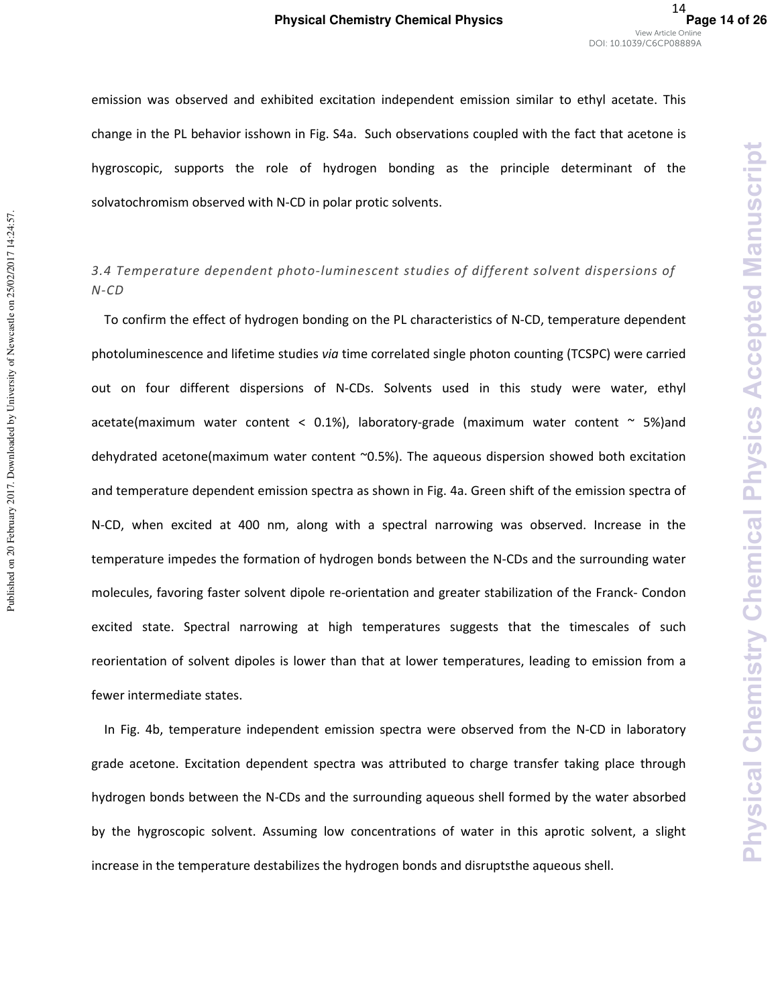emission was observed and exhibited excitation independent emission similar to ethyl acetate. This change in the PL behavior isshown in Fig. S4a. Such observations coupled with the fact that acetone is hygroscopic, supports the role of hydrogen bonding as the principle determinant of the solvatochromism observed with N-CD in polar protic solvents.

#### *3.4 Temperature dependent photo-luminescent studies of different solvent dispersions of N-CD*

To confirm the effect of hydrogen bonding on the PL characteristics of N-CD, temperature dependent photoluminescence and lifetime studies *via* time correlated single photon counting (TCSPC) were carried out on four different dispersions of N-CDs. Solvents used in this study were water, ethyl acetate(maximum water content < 0.1%), laboratory-grade (maximum water content  $\sim$  5%)and dehydrated acetone(maximum water content ~0.5%). The aqueous dispersion showed both excitation and temperature dependent emission spectra as shown in Fig. 4a. Green shift of the emission spectra of N-CD, when excited at 400 nm, along with a spectral narrowing was observed. Increase in the temperature impedes the formation of hydrogen bonds between the N-CDs and the surrounding water molecules, favoring faster solvent dipole re-orientation and greater stabilization of the Franck- Condon excited state. Spectral narrowing at high temperatures suggests that the timescales of such reorientation of solvent dipoles is lower than that at lower temperatures, leading to emission from a fewer intermediate states.

In Fig. 4b, temperature independent emission spectra were observed from the N-CD in laboratory grade acetone. Excitation dependent spectra was attributed to charge transfer taking place through hydrogen bonds between the N-CDs and the surrounding aqueous shell formed by the water absorbed by the hygroscopic solvent. Assuming low concentrations of water in this aprotic solvent, a slight increase in the temperature destabilizes the hydrogen bonds and disruptsthe aqueous shell.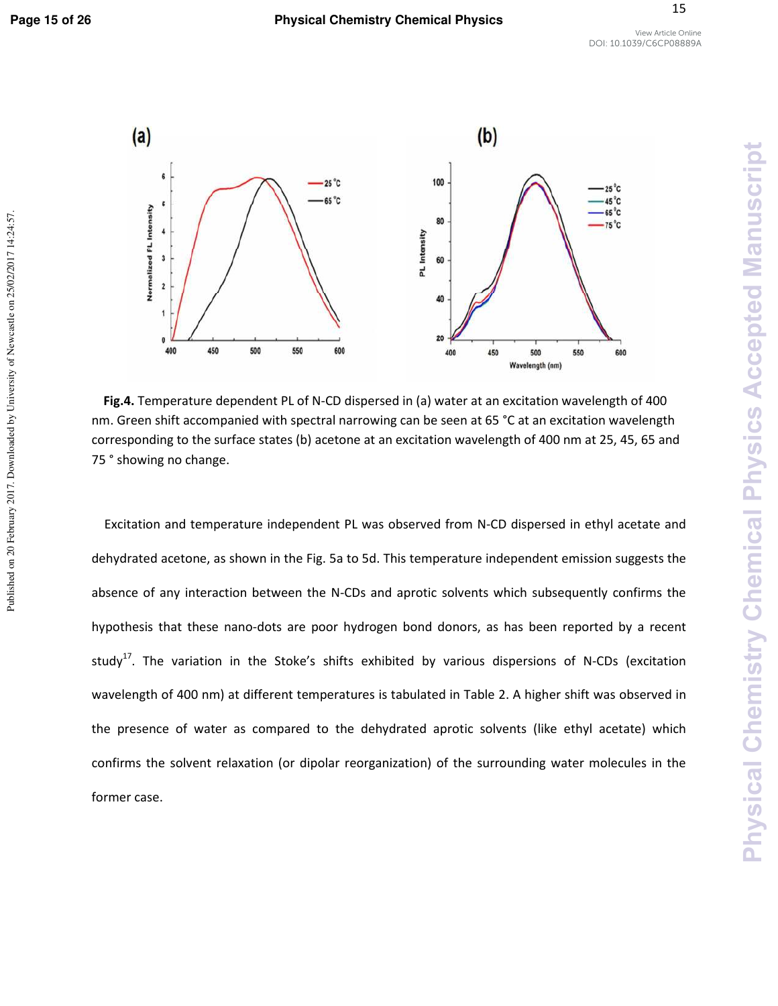**Physical Chemistry Chemical Physics Accepted Manuscript** 



**Fig.4.** Temperature dependent PL of N-CD dispersed in (a) water at an excitation wavelength of 400 nm. Green shift accompanied with spectral narrowing can be seen at 65 °C at an excitation wavelength corresponding to the surface states (b) acetone at an excitation wavelength of 400 nm at 25, 45, 65 and 75 ° showing no change.

Excitation and temperature independent PL was observed from N-CD dispersed in ethyl acetate and dehydrated acetone, as shown in the Fig. 5a to 5d. This temperature independent emission suggests the absence of any interaction between the N-CDs and aprotic solvents which subsequently confirms the hypothesis that these nano-dots are poor hydrogen bond donors, as has been reported by a recent study<sup>17</sup>. The variation in the Stoke's shifts exhibited by various dispersions of N-CDs (excitation wavelength of 400 nm) at different temperatures is tabulated in Table 2. A higher shift was observed in the presence of water as compared to the dehydrated aprotic solvents (like ethyl acetate) which confirms the solvent relaxation (or dipolar reorganization) of the surrounding water molecules in the former case.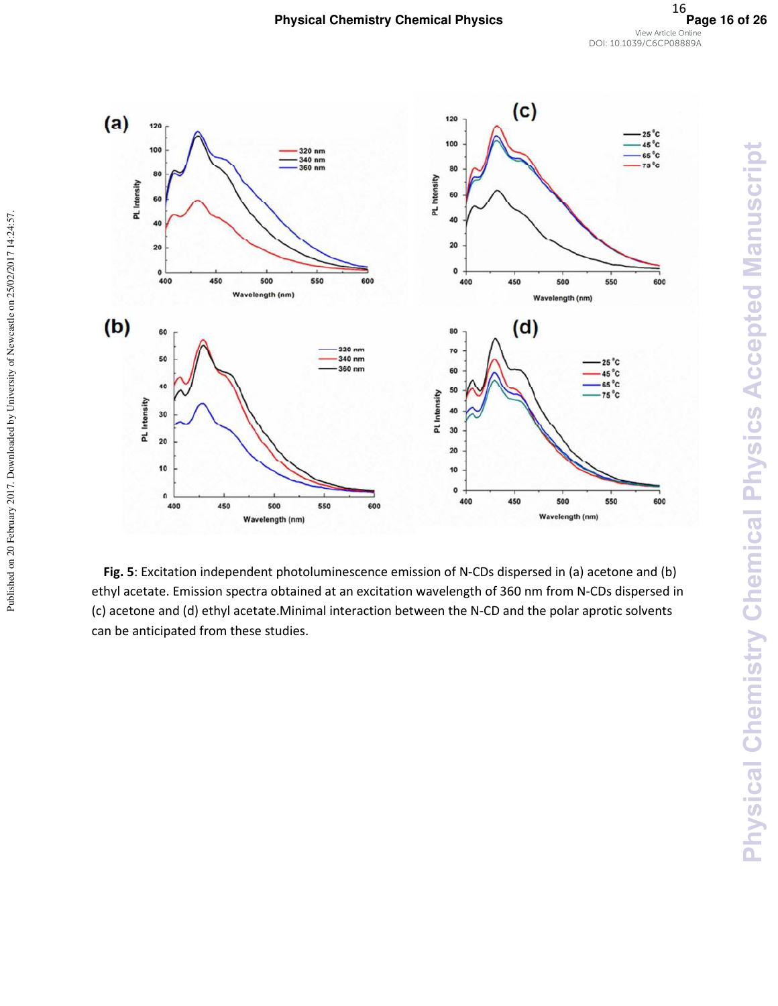

Published on 20 February 2017. Downloaded by University of Newcastle on 25/02/2017 14:24:57.

**Fig. 5**: Excitation independent photoluminescence emission of N-CDs dispersed in (a) acetone and (b) ethyl acetate. Emission spectra obtained at an excitation wavelength of 360 nm from N-CDs dispersed in (c) acetone and (d) ethyl acetate.Minimal interaction between the N-CD and the polar aprotic solvents can be anticipated from these studies.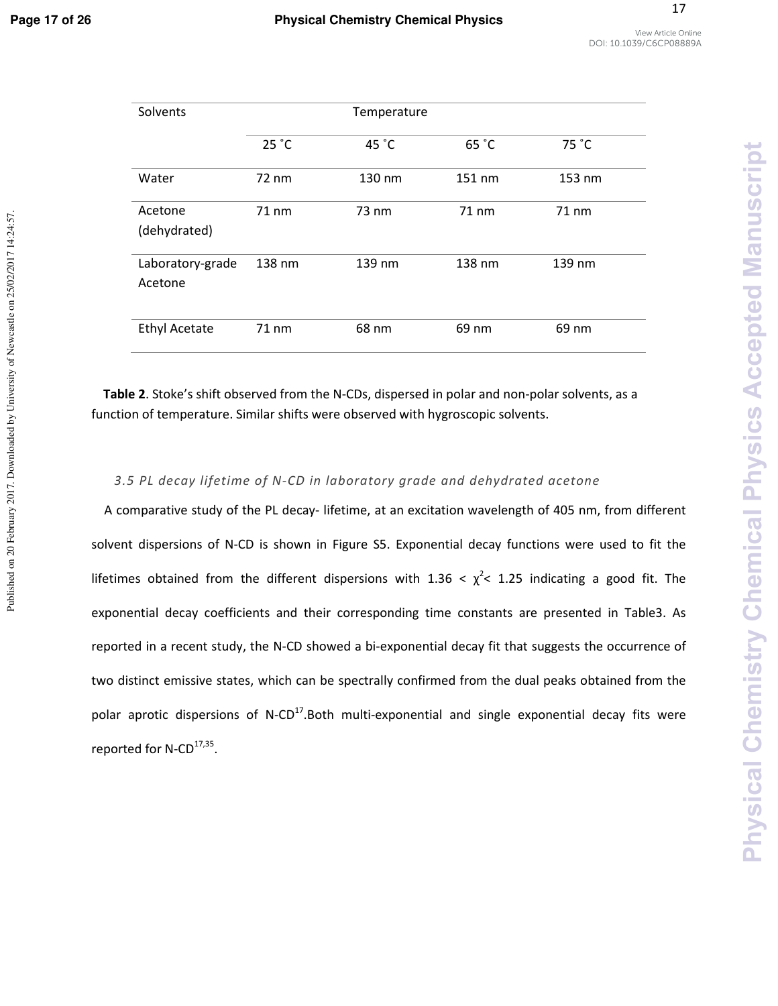Published on 20 February 2017. Downloaded by University of Newcastle on 25/02/2017 14:24:57.

| Solvents                    |        |        |        |        |
|-----------------------------|--------|--------|--------|--------|
|                             | 25 °C  | 45 °C  | 65 °C  | 75 °C  |
| Water                       | 72 nm  | 130 nm | 151 nm | 153 nm |
| Acetone<br>(dehydrated)     | 71 nm  | 73 nm  | 71 nm  | 71 nm  |
| Laboratory-grade<br>Acetone | 138 nm | 139 nm | 138 nm | 139 nm |
| <b>Ethyl Acetate</b>        | 71 nm  | 68 nm  | 69 nm  | 69 nm  |

**Table 2**. Stoke's shift observed from the N-CDs, dispersed in polar and non-polar solvents, as a function of temperature. Similar shifts were observed with hygroscopic solvents.

#### *3.5 PL decay lifetime of N-CD in laboratory grade and dehydrated acetone*

A comparative study of the PL decay- lifetime, at an excitation wavelength of 405 nm, from different solvent dispersions of N-CD is shown in Figure S5. Exponential decay functions were used to fit the lifetimes obtained from the different dispersions with 1.36  $\langle \chi^2 \langle$  1.25 indicating a good fit. The exponential decay coefficients and their corresponding time constants are presented in Table3. As reported in a recent study, the N-CD showed a bi-exponential decay fit that suggests the occurrence of two distinct emissive states, which can be spectrally confirmed from the dual peaks obtained from the polar aprotic dispersions of  $N$ -CD<sup>17</sup>. Both multi-exponential and single exponential decay fits were reported for N-CD<sup>17,35</sup>.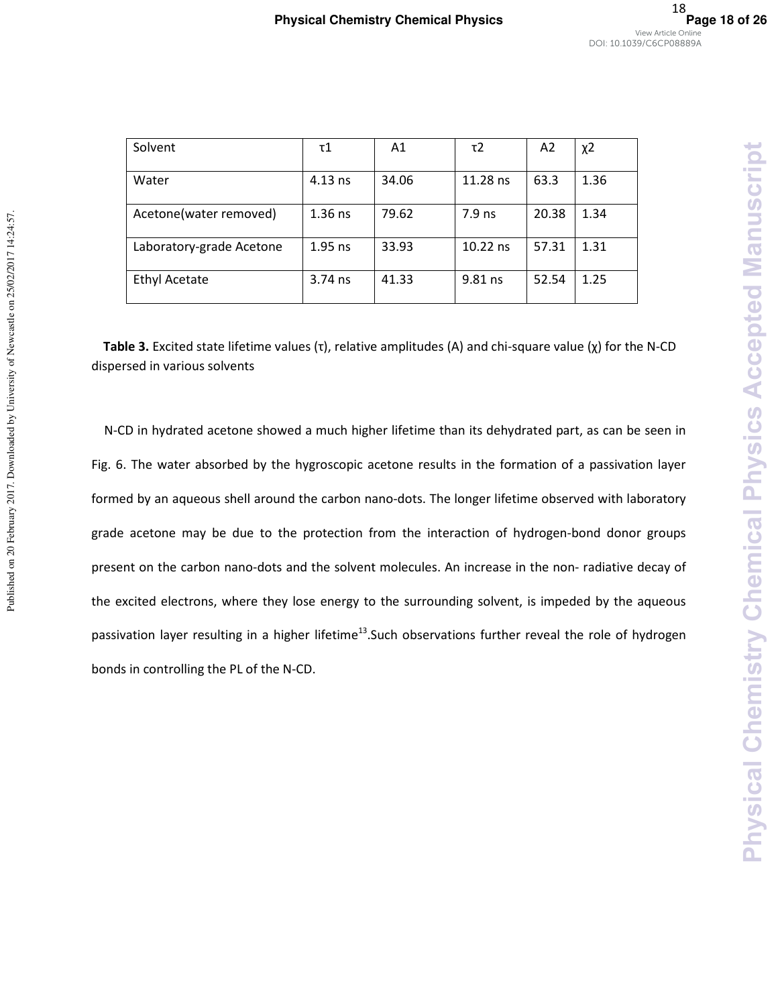Physical Chemistry Chemical Physics Accepted Manuscript

| Solvent                  | τ1        | A1    | τ2       | A <sub>2</sub> | χ2   |
|--------------------------|-----------|-------|----------|----------------|------|
| Water                    | $4.13$ ns | 34.06 | 11.28 ns | 63.3           | 1.36 |
| Acetone(water removed)   | $1.36$ ns | 79.62 | $7.9$ ns | 20.38          | 1.34 |
| Laboratory-grade Acetone | $1.95$ ns | 33.93 | 10.22 ns | 57.31          | 1.31 |
| <b>Ethyl Acetate</b>     | $3.74$ ns | 41.33 | 9.81 ns  | 52.54          | 1.25 |

**Table 3.** Excited state lifetime values (τ), relative amplitudes (A) and chi-square value (χ) for the N-CD dispersed in various solvents

N-CD in hydrated acetone showed a much higher lifetime than its dehydrated part, as can be seen in Fig. 6. The water absorbed by the hygroscopic acetone results in the formation of a passivation layer formed by an aqueous shell around the carbon nano-dots. The longer lifetime observed with laboratory grade acetone may be due to the protection from the interaction of hydrogen-bond donor groups present on the carbon nano-dots and the solvent molecules. An increase in the non- radiative decay of the excited electrons, where they lose energy to the surrounding solvent, is impeded by the aqueous passivation layer resulting in a higher lifetime<sup>13</sup>. Such observations further reveal the role of hydrogen bonds in controlling the PL of the N-CD.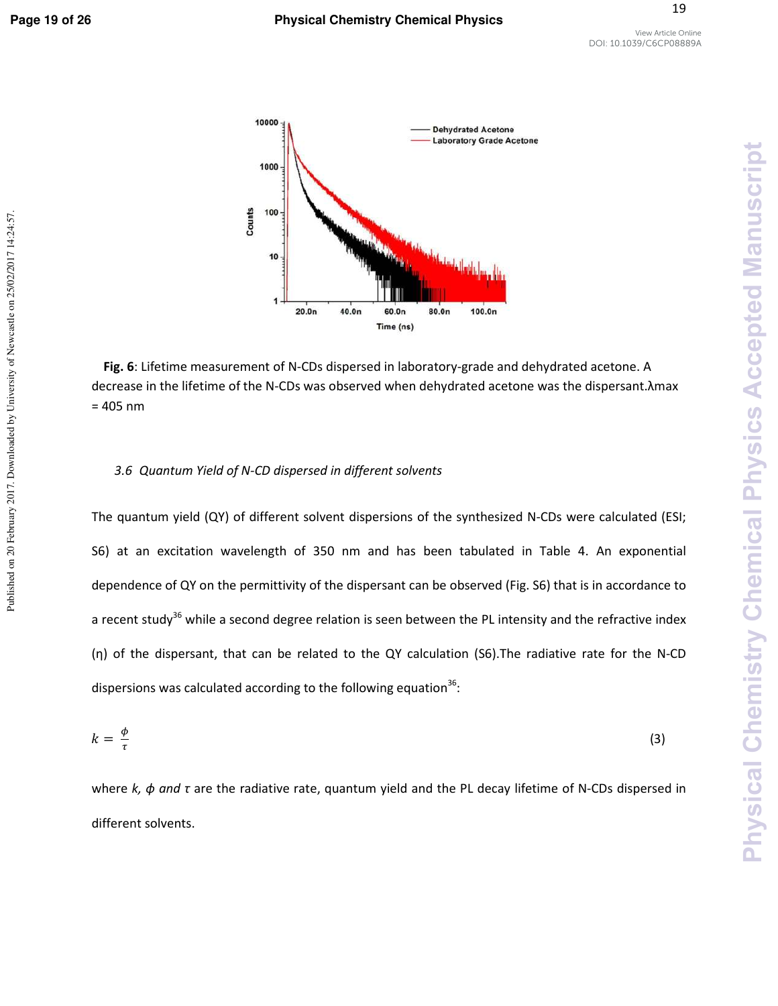Published on 20 February 2017. Downloaded by University of Newcastle on 25/02/2017 14:24:57.

19



**Fig. 6**: Lifetime measurement of N-CDs dispersed in laboratory-grade and dehydrated acetone. A decrease in the lifetime of the N-CDs was observed when dehydrated acetone was the dispersant.λmax  $= 405$  nm

#### *3.6 Quantum Yield of N-CD dispersed in different solvents*

The quantum yield (QY) of different solvent dispersions of the synthesized N-CDs were calculated (ESI; S6) at an excitation wavelength of 350 nm and has been tabulated in Table 4. An exponential dependence of QY on the permittivity of the dispersant can be observed (Fig. S6) that is in accordance to a recent study<sup>36</sup> while a second degree relation is seen between the PL intensity and the refractive index (η) of the dispersant, that can be related to the QY calculation (S6).The radiative rate for the N-CD dispersions was calculated according to the following equation $^{36}$ :

$$
k = \frac{\phi}{\tau} \tag{3}
$$

where *k, ϕ and τ* are the radiative rate, quantum yield and the PL decay lifetime of N-CDs dispersed in different solvents.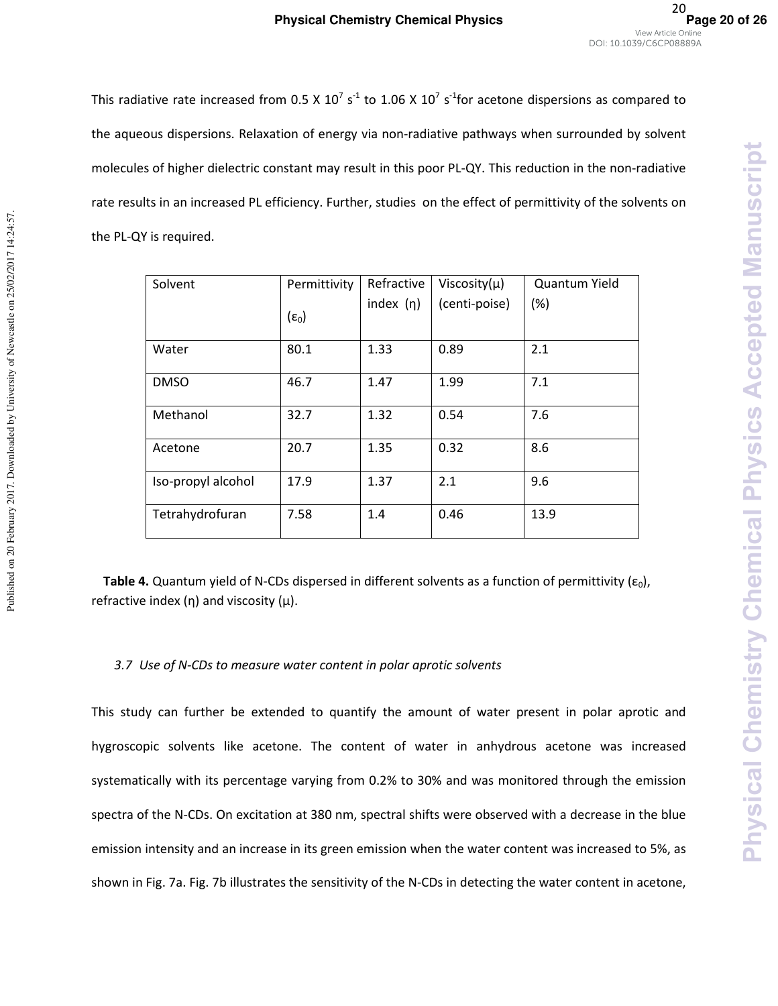This radiative rate increased from 0.5 X 10<sup>7</sup> s<sup>-1</sup> to 1.06 X 10<sup>7</sup> s<sup>-1</sup>for acetone dispersions as compared to the aqueous dispersions. Relaxation of energy via non-radiative pathways when surrounded by solvent molecules of higher dielectric constant may result in this poor PL-QY. This reduction in the non-radiative rate results in an increased PL efficiency. Further, studies on the effect of permittivity of the solvents on the PL-QY is required.

| Solvent            | Permittivity   | Refractive     | Viscosity $(\mu)$ | Quantum Yield |
|--------------------|----------------|----------------|-------------------|---------------|
|                    | $(\epsilon_0)$ | index $(\eta)$ | (centi-poise)     | (%)           |
| Water              | 80.1           | 1.33           | 0.89              | 2.1           |
| <b>DMSO</b>        | 46.7           | 1.47           | 1.99              | 7.1           |
| Methanol           | 32.7           | 1.32           | 0.54              | 7.6           |
| Acetone            | 20.7           | 1.35           | 0.32              | 8.6           |
| Iso-propyl alcohol | 17.9           | 1.37           | 2.1               | 9.6           |
| Tetrahydrofuran    | 7.58           | 1.4            | 0.46              | 13.9          |

**Table 4.** Quantum yield of N-CDs dispersed in different solvents as a function of permittivity ( $\varepsilon_0$ ), refractive index  $(η)$  and viscosity  $(μ)$ .

#### *3.7 Use of N-CDs to measure water content in polar aprotic solvents*

Published on 20 February 2017. Downloaded by University of Newcastle on 25/02/2017 14:24:57.

Published on 20 February 2017. Downloaded by University of Newcastle on 25/02/2017 14:24:57.

This study can further be extended to quantify the amount of water present in polar aprotic and hygroscopic solvents like acetone. The content of water in anhydrous acetone was increased systematically with its percentage varying from 0.2% to 30% and was monitored through the emission spectra of the N-CDs. On excitation at 380 nm, spectral shifts were observed with a decrease in the blue emission intensity and an increase in its green emission when the water content was increased to 5%, as shown in Fig. 7a. Fig. 7b illustrates the sensitivity of the N-CDs in detecting the water content in acetone,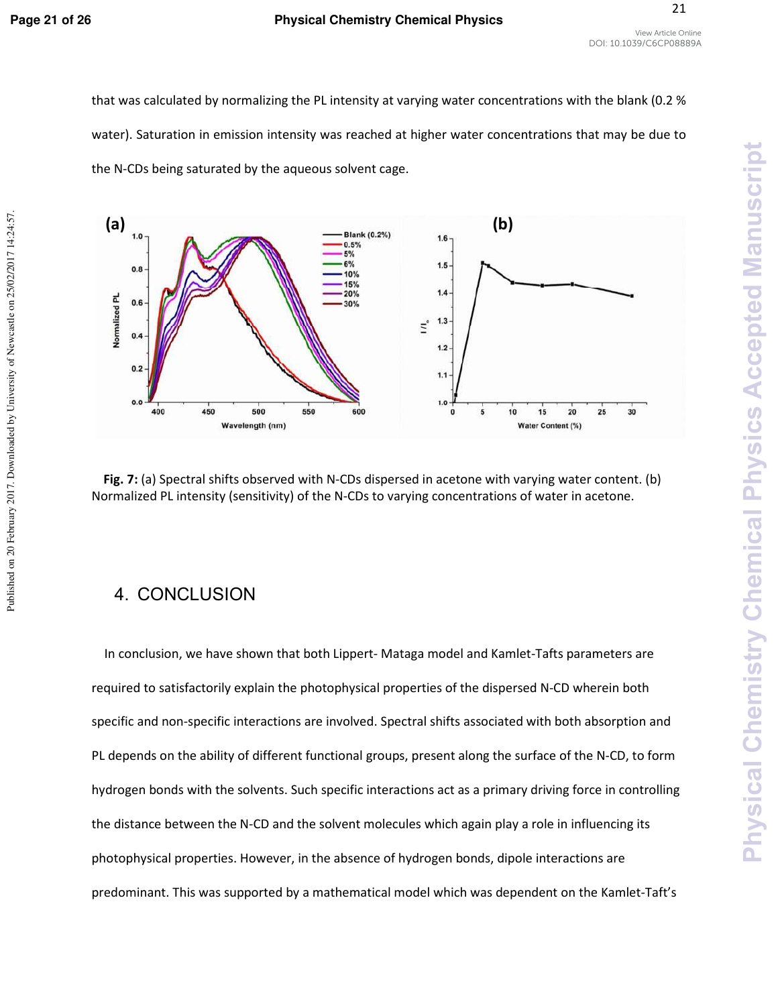Published on 20 February 2017. Downloaded by University of Newcastle on 25/02/2017 14:24:57.

#### **Page 21 of 26 Physical Chemistry Chemical Physics**

21

that was calculated by normalizing the PL intensity at varying water concentrations with the blank (0.2 % water). Saturation in emission intensity was reached at higher water concentrations that may be due to the N-CDs being saturated by the aqueous solvent cage.



**Fig. 7:** (a) Spectral shifts observed with N-CDs dispersed in acetone with varying water content. (b) Normalized PL intensity (sensitivity) of the N-CDs to varying concentrations of water in acetone.

# 4. CONCLUSION

In conclusion, we have shown that both Lippert- Mataga model and Kamlet-Tafts parameters are required to satisfactorily explain the photophysical properties of the dispersed N-CD wherein both specific and non-specific interactions are involved. Spectral shifts associated with both absorption and PL depends on the ability of different functional groups, present along the surface of the N-CD, to form hydrogen bonds with the solvents. Such specific interactions act as a primary driving force in controlling the distance between the N-CD and the solvent molecules which again play a role in influencing its photophysical properties. However, in the absence of hydrogen bonds, dipole interactions are predominant. This was supported by a mathematical model which was dependent on the Kamlet-Taft's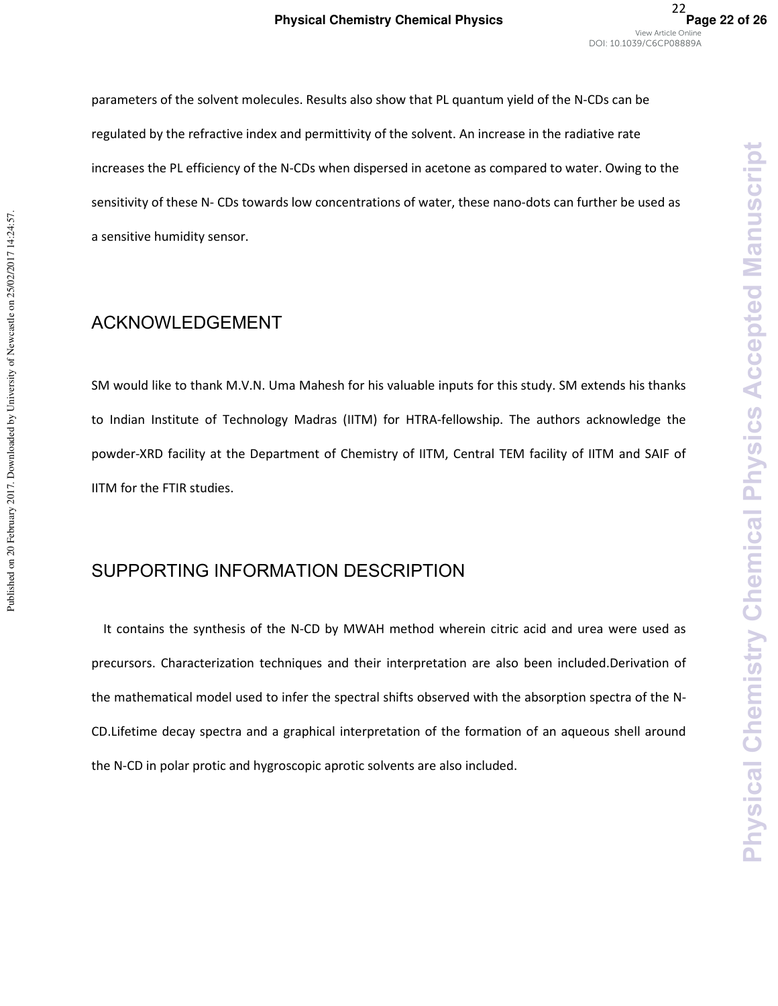parameters of the solvent molecules. Results also show that PL quantum yield of the N-CDs can be regulated by the refractive index and permittivity of the solvent. An increase in the radiative rate increases the PL efficiency of the N-CDs when dispersed in acetone as compared to water. Owing to the sensitivity of these N- CDs towards low concentrations of water, these nano-dots can further be used as a sensitive humidity sensor.

#### **ACKNOWLEDGEMENT**

Published on 20 February 2017. Downloaded by University of Newcastle on 25/02/2017 14:24:57.

Published on 20 February 2017. Downloaded by University of Newcastle on 25/02/2017 14:24:57.

SM would like to thank M.V.N. Uma Mahesh for his valuable inputs for this study. SM extends his thanks to Indian Institute of Technology Madras (IITM) for HTRA-fellowship. The authors acknowledge the powder-XRD facility at the Department of Chemistry of IITM, Central TEM facility of IITM and SAIF of IITM for the FTIR studies.

# SUPPORTING INFORMATION DESCRIPTION

It contains the synthesis of the N-CD by MWAH method wherein citric acid and urea were used as precursors. Characterization techniques and their interpretation are also been included.Derivation of the mathematical model used to infer the spectral shifts observed with the absorption spectra of the N-CD.Lifetime decay spectra and a graphical interpretation of the formation of an aqueous shell around the N-CD in polar protic and hygroscopic aprotic solvents are also included.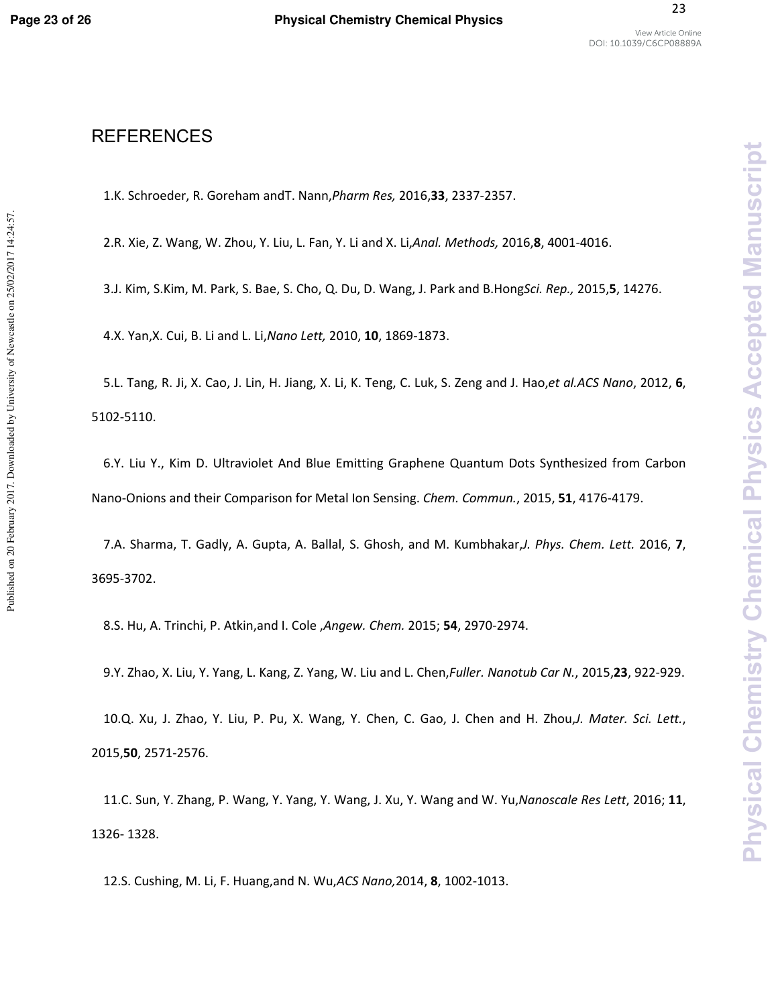Published on 20 February 2017. Downloaded by University of Newcastle on 25/02/2017 14:24:57.

23

### **REFERENCES**

1.K. Schroeder, R. Goreham andT. Nann,*Pharm Res,* 2016,**33**, 2337-2357.

2.R. Xie, Z. Wang, W. Zhou, Y. Liu, L. Fan, Y. Li and X. Li,*Anal. Methods,* 2016,**8**, 4001-4016.

3.J. Kim, S.Kim, M. Park, S. Bae, S. Cho, Q. Du, D. Wang, J. Park and B.Hong*Sci. Rep.,* 2015,**5**, 14276.

4.X. Yan,X. Cui, B. Li and L. Li,*Nano Lett,* 2010, **10**, 1869-1873.

5.L. Tang, R. Ji, X. Cao, J. Lin, H. Jiang, X. Li, K. Teng, C. Luk, S. Zeng and J. Hao,*et al.ACS Nano*, 2012, **6**, 5102-5110.

6.Y. Liu Y., Kim D. Ultraviolet And Blue Emitting Graphene Quantum Dots Synthesized from Carbon Nano-Onions and their Comparison for Metal Ion Sensing. *Chem. Commun.*, 2015, **51**, 4176-4179.

7.A. Sharma, T. Gadly, A. Gupta, A. Ballal, S. Ghosh, and M. Kumbhakar,*J. Phys. Chem. Lett.* 2016, **7**, 3695-3702.

8.S. Hu, A. Trinchi, P. Atkin,and I. Cole ,*Angew. Chem.* 2015; **54**, 2970-2974.

9.Y. Zhao, X. Liu, Y. Yang, L. Kang, Z. Yang, W. Liu and L. Chen,*Fuller. Nanotub Car N.*, 2015,**23**, 922-929.

10.Q. Xu, J. Zhao, Y. Liu, P. Pu, X. Wang, Y. Chen, C. Gao, J. Chen and H. Zhou,*J. Mater. Sci. Lett.*, 2015,**50**, 2571-2576.

11.C. Sun, Y. Zhang, P. Wang, Y. Yang, Y. Wang, J. Xu, Y. Wang and W. Yu,*Nanoscale Res Lett*, 2016; **11**, 1326- 1328.

12.S. Cushing, M. Li, F. Huang,and N. Wu,*ACS Nano,*2014, **8**, 1002-1013.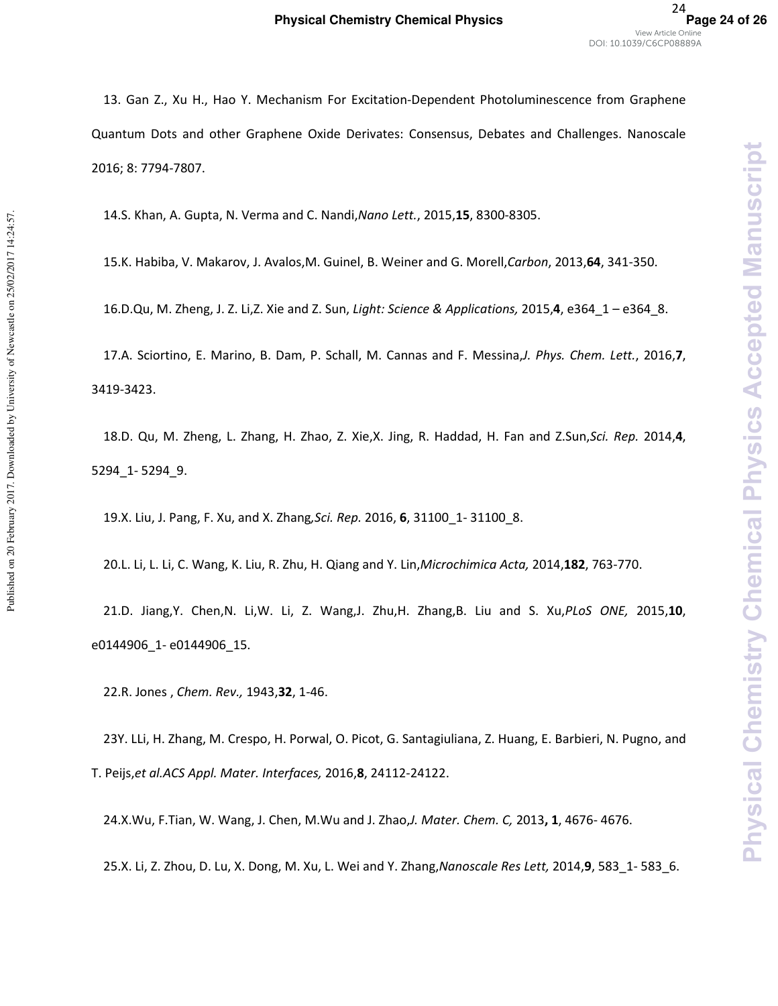**Physical Chemistry Chemical Physics** 

**Accepted Manuscript** 

13. Gan Z., Xu H., Hao Y. Mechanism For Excitation-Dependent Photoluminescence from Graphene Quantum Dots and other Graphene Oxide Derivates: Consensus, Debates and Challenges. Nanoscale 2016; 8: 7794-7807.

14.S. Khan, A. Gupta, N. Verma and C. Nandi,*Nano Lett.*, 2015,**15**, 8300-8305.

15.K. Habiba, V. Makarov, J. Avalos,M. Guinel, B. Weiner and G. Morell,*Carbon*, 2013,**64**, 341-350.

16.D.Qu, M. Zheng, J. Z. Li,Z. Xie and Z. Sun, *Light: Science & Applications,* 2015,**4**, e364\_1 – e364\_8.

17.A. Sciortino, E. Marino, B. Dam, P. Schall, M. Cannas and F. Messina,*J. Phys. Chem. Lett.*, 2016,**7**, 3419-3423.

18.D. Qu, M. Zheng, L. Zhang, H. Zhao, Z. Xie,X. Jing, R. Haddad, H. Fan and Z.Sun,*Sci. Rep.* 2014,**4**, 5294\_1- 5294\_9.

19.X. Liu, J. Pang, F. Xu, and X. Zhang*,Sci. Rep.* 2016, **6**, 31100\_1- 31100\_8.

20.L. Li, L. Li, C. Wang, K. Liu, R. Zhu, H. Qiang and Y. Lin,*Microchimica Acta,* 2014,**182**, 763-770.

21.D. Jiang,Y. Chen,N. Li,W. Li, Z. Wang,J. Zhu,H. Zhang,B. Liu and S. Xu,*PLoS ONE,* 2015,**10**, e0144906\_1- e0144906\_15.

22.R. Jones , *Chem. Rev.,* 1943,**32**, 1-46.

23Y. LLi, H. Zhang, M. Crespo, H. Porwal, O. Picot, G. Santagiuliana, Z. Huang, E. Barbieri, N. Pugno, and T. Peijs,*et al.ACS Appl. Mater. Interfaces,* 2016,**8**, 24112-24122.

24.X.Wu, F.Tian, W. Wang, J. Chen, M.Wu and J. Zhao,*J. Mater. Chem. C,* 2013**, 1**, 4676- 4676.

25.X. Li, Z. Zhou, D. Lu, X. Dong, M. Xu, L. Wei and Y. Zhang,*Nanoscale Res Lett,* 2014,**9**, 583\_1- 583\_6.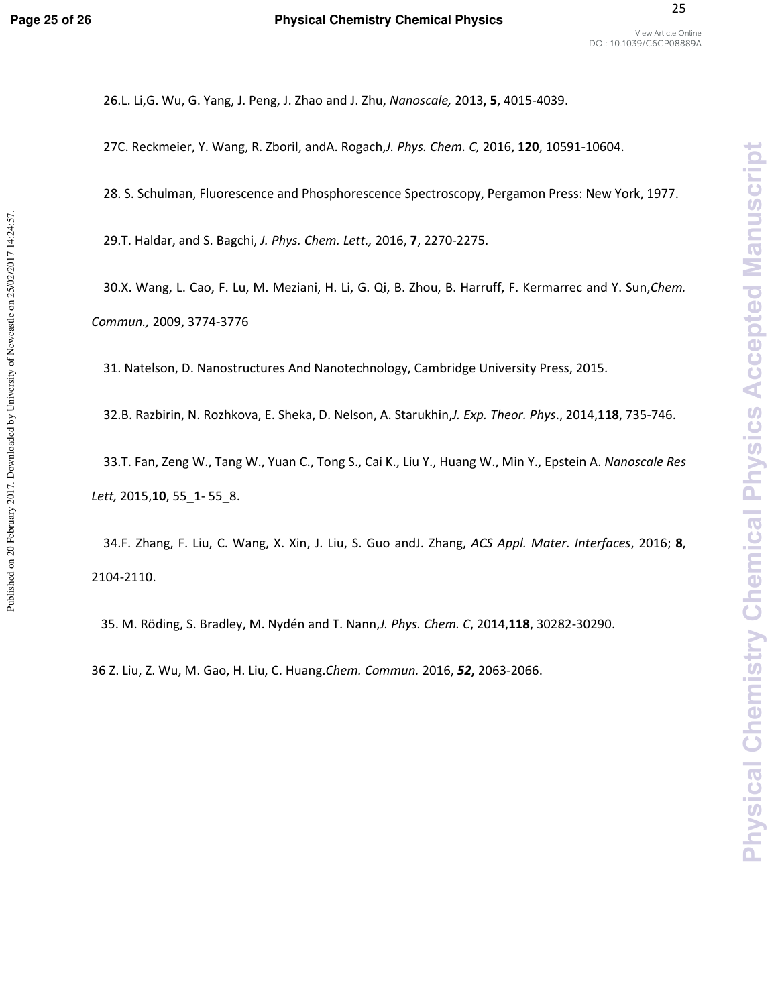**Physical Chemistry Chemical Physics** 

**Accepted Manuscript** 

26.L. Li,G. Wu, G. Yang, J. Peng, J. Zhao and J. Zhu, *Nanoscale,* 2013**, 5**, 4015-4039.

27C. Reckmeier, Y. Wang, R. Zboril, andA. Rogach,*J. Phys. Chem. C,* 2016, **120**, 10591-10604.

28. S. Schulman, Fluorescence and Phosphorescence Spectroscopy, Pergamon Press: New York, 1977.

29.T. Haldar, and S. Bagchi, *J. Phys. Chem. Lett.,* 2016, **7**, 2270-2275.

30.X. Wang, L. Cao, F. Lu, M. Meziani, H. Li, G. Qi, B. Zhou, B. Harruff, F. Kermarrec and Y. Sun,*Chem. Commun.,* 2009, 3774-3776

31. Natelson, D. Nanostructures And Nanotechnology, Cambridge University Press, 2015.

32.B. Razbirin, N. Rozhkova, E. Sheka, D. Nelson, A. Starukhin,*J. Exp. Theor. Phys*., 2014,**118**, 735-746.

33.T. Fan, Zeng W., Tang W., Yuan C., Tong S., Cai K., Liu Y., Huang W., Min Y., Epstein A. *Nanoscale Res Lett,* 2015,**10**, 55\_1- 55\_8.

34.F. Zhang, F. Liu, C. Wang, X. Xin, J. Liu, S. Guo andJ. Zhang, *ACS Appl. Mater. Interfaces*, 2016; **8**, 2104-2110.

35. M. Röding, S. Bradley, M. Nydén and T. Nann,*J. Phys. Chem. C*, 2014,**118**, 30282-30290.

36 Z. Liu, Z. Wu, M. Gao, H. Liu, C. Huang.*Chem. Commun.* 2016, *52***,** 2063-2066.